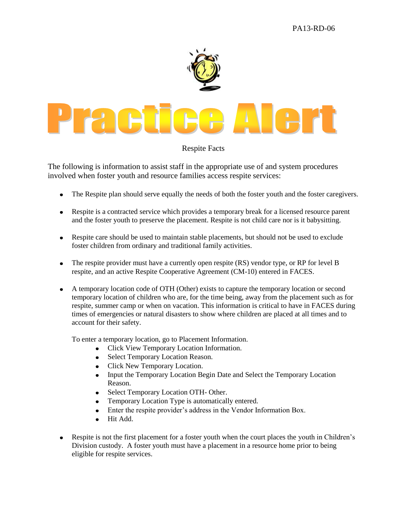

## Respite Facts

The following is information to assist staff in the appropriate use of and system procedures involved when foster youth and resource families access respite services:

- The Respite plan should serve equally the needs of both the foster youth and the foster caregivers.  $\bullet$
- Respite is a contracted service which provides a temporary break for a licensed resource parent and the foster youth to preserve the placement. Respite is not child care nor is it babysitting.
- Respite care should be used to maintain stable placements, but should not be used to exclude foster children from ordinary and traditional family activities.
- The respite provider must have a currently open respite (RS) vendor type, or RP for level B  $\bullet$ respite, and an active Respite Cooperative Agreement (CM-10) entered in FACES.
- $\bullet$ A temporary location code of OTH (Other) exists to capture the temporary location or second temporary location of children who are, for the time being, away from the placement such as for respite, summer camp or when on vacation. This information is critical to have in FACES during times of emergencies or natural disasters to show where children are placed at all times and to account for their safety.

To enter a temporary location, go to Placement Information.

- Click View Temporary Location Information.
- Select Temporary Location Reason.
- Click New Temporary Location.
- Input the Temporary Location Begin Date and Select the Temporary Location  $\bullet$ Reason.
- Select Temporary Location OTH- Other.
- Temporary Location Type is automatically entered.
- Enter the respite provider's address in the Vendor Information Box.
- Hit Add.  $\bullet$
- Respite is not the first placement for a foster youth when the court places the youth in Children's Division custody. A foster youth must have a placement in a resource home prior to being eligible for respite services.